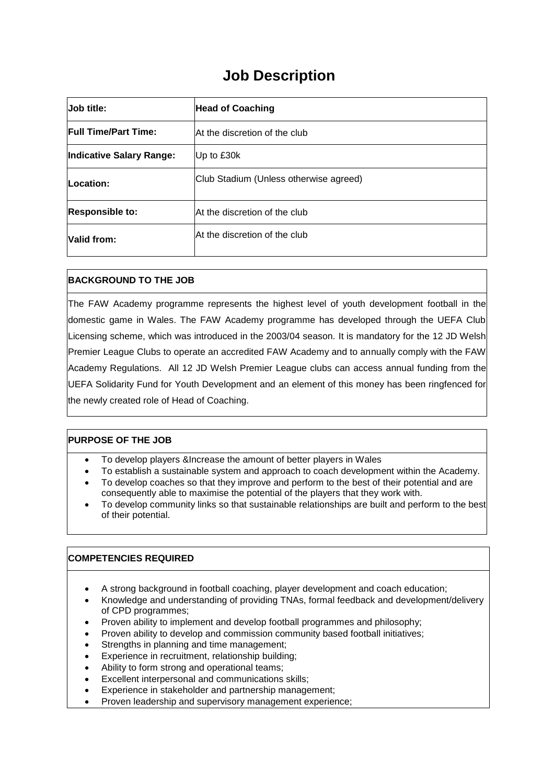# **Job Description**

| Job title:                      | <b>Head of Coaching</b>                |
|---------------------------------|----------------------------------------|
| <b>Full Time/Part Time:</b>     | At the discretion of the club          |
| <b>Indicative Salary Range:</b> | Up to £30k                             |
| Location:                       | Club Stadium (Unless otherwise agreed) |
| <b>Responsible to:</b>          | At the discretion of the club          |
| Valid from:                     | At the discretion of the club          |

# **BACKGROUND TO THE JOB**

The FAW Academy programme represents the highest level of youth development football in the domestic game in Wales. The FAW Academy programme has developed through the UEFA Club Licensing scheme, which was introduced in the 2003/04 season. It is mandatory for the 12 JD Welsh Premier League Clubs to operate an accredited FAW Academy and to annually comply with the FAW Academy Regulations. All 12 JD Welsh Premier League clubs can access annual funding from the UEFA Solidarity Fund for Youth Development and an element of this money has been ringfenced for the newly created role of Head of Coaching.

# **PURPOSE OF THE JOB**

- To develop players &Increase the amount of better players in Wales
- To establish a sustainable system and approach to coach development within the Academy.
- To develop coaches so that they improve and perform to the best of their potential and are consequently able to maximise the potential of the players that they work with.
- To develop community links so that sustainable relationships are built and perform to the best of their potential.

# **COMPETENCIES REQUIRED**

- A strong background in football coaching, player development and coach education;
- Knowledge and understanding of providing TNAs, formal feedback and development/delivery of CPD programmes;
- Proven ability to implement and develop football programmes and philosophy;
- Proven ability to develop and commission community based football initiatives;
- Strengths in planning and time management;
- Experience in recruitment, relationship building;
- Ability to form strong and operational teams;
- Excellent interpersonal and communications skills;
- Experience in stakeholder and partnership management;
- Proven leadership and supervisory management experience;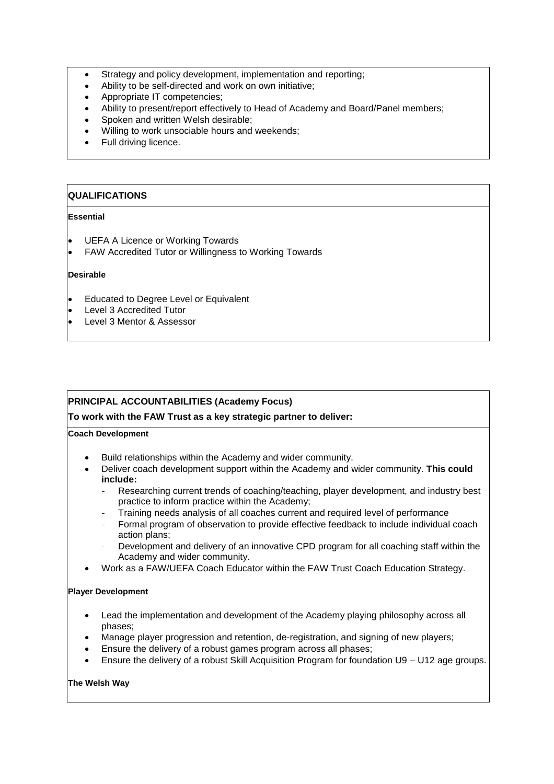- Strategy and policy development, implementation and reporting;
- Ability to be self-directed and work on own initiative;
- Appropriate IT competencies;
- Ability to present/report effectively to Head of Academy and Board/Panel members;
- Spoken and written Welsh desirable;
- Willing to work unsociable hours and weekends;
- Full driving licence.

#### **QUALIFICATIONS**

#### **Essential**

- UEFA A Licence or Working Towards
- FAW Accredited Tutor or Willingness to Working Towards

#### **Desirable**

- Educated to Degree Level or Equivalent
- Level 3 Accredited Tutor
- Level 3 Mentor & Assessor

## **PRINCIPAL ACCOUNTABILITIES (Academy Focus)**

## **To work with the FAW Trust as a key strategic partner to deliver:**

#### **Coach Development**

- Build relationships within the Academy and wider community.
- Deliver coach development support within the Academy and wider community. **This could include:**
	- Researching current trends of coaching/teaching, player development, and industry best practice to inform practice within the Academy;
	- Training needs analysis of all coaches current and required level of performance
	- Formal program of observation to provide effective feedback to include individual coach action plans;
	- Development and delivery of an innovative CPD program for all coaching staff within the Academy and wider community.
- Work as a FAW/UEFA Coach Educator within the FAW Trust Coach Education Strategy.

#### **Player Development**

- Lead the implementation and development of the Academy playing philosophy across all phases;
- Manage player progression and retention, de-registration, and signing of new players;
- Ensure the delivery of a robust games program across all phases;
- Ensure the delivery of a robust Skill Acquisition Program for foundation U9 U12 age groups.

#### **The Welsh Way**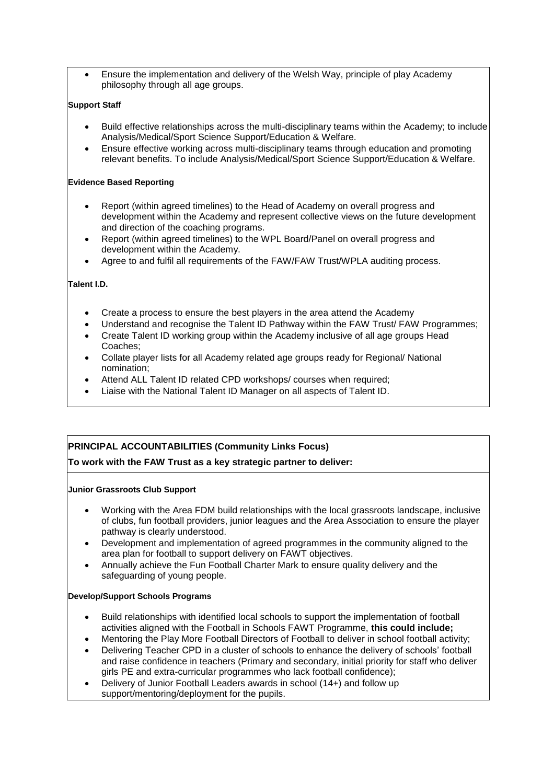• Ensure the implementation and delivery of the Welsh Way, principle of play Academy philosophy through all age groups.

## **Support Staff**

- Build effective relationships across the multi-disciplinary teams within the Academy; to include Analysis/Medical/Sport Science Support/Education & Welfare.
- Ensure effective working across multi-disciplinary teams through education and promoting relevant benefits. To include Analysis/Medical/Sport Science Support/Education & Welfare.

## **Evidence Based Reporting**

- Report (within agreed timelines) to the Head of Academy on overall progress and development within the Academy and represent collective views on the future development and direction of the coaching programs.
- Report (within agreed timelines) to the WPL Board/Panel on overall progress and development within the Academy.
- Agree to and fulfil all requirements of the FAW/FAW Trust/WPLA auditing process.

## **Talent I.D.**

- Create a process to ensure the best players in the area attend the Academy
- Understand and recognise the Talent ID Pathway within the FAW Trust/ FAW Programmes;
- Create Talent ID working group within the Academy inclusive of all age groups Head Coaches;
- Collate player lists for all Academy related age groups ready for Regional/ National nomination;
- Attend ALL Talent ID related CPD workshops/ courses when required;
- Liaise with the National Talent ID Manager on all aspects of Talent ID.

# **PRINCIPAL ACCOUNTABILITIES (Community Links Focus)**

**To work with the FAW Trust as a key strategic partner to deliver:**

## **Junior Grassroots Club Support**

- Working with the Area FDM build relationships with the local grassroots landscape, inclusive of clubs, fun football providers, junior leagues and the Area Association to ensure the player pathway is clearly understood.
- Development and implementation of agreed programmes in the community aligned to the area plan for football to support delivery on FAWT objectives.
- Annually achieve the Fun Football Charter Mark to ensure quality delivery and the safeguarding of young people.

## **Develop/Support Schools Programs**

- Build relationships with identified local schools to support the implementation of football activities aligned with the Football in Schools FAWT Programme, **this could include;**
- Mentoring the Play More Football Directors of Football to deliver in school football activity;
- Delivering Teacher CPD in a cluster of schools to enhance the delivery of schools' football and raise confidence in teachers (Primary and secondary, initial priority for staff who deliver girls PE and extra-curricular programmes who lack football confidence);
- Delivery of Junior Football Leaders awards in school (14+) and follow up support/mentoring/deployment for the pupils.